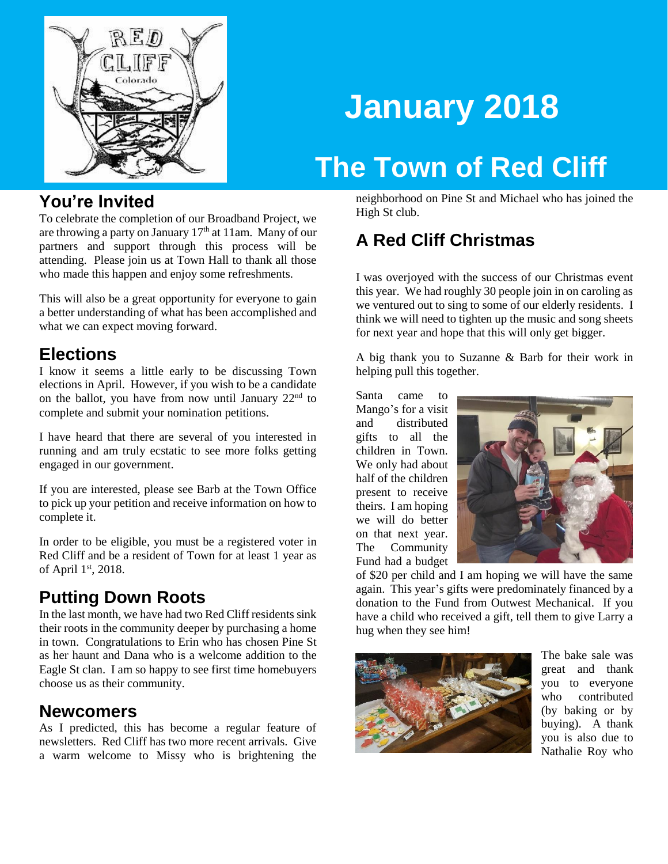

# **January 2018**

## **The Town of Red Cliff**

### **You're Invited**

To celebrate the completion of our Broadband Project, we are throwing a party on January  $17<sup>th</sup>$  at 11am. Many of our partners and support through this process will be attending. Please join us at Town Hall to thank all those who made this happen and enjoy some refreshments.

This will also be a great opportunity for everyone to gain a better understanding of what has been accomplished and what we can expect moving forward.

## **Elections**

I know it seems a little early to be discussing Town elections in April. However, if you wish to be a candidate on the ballot, you have from now until January  $22<sup>nd</sup>$  to complete and submit your nomination petitions.

I have heard that there are several of you interested in running and am truly ecstatic to see more folks getting engaged in our government.

If you are interested, please see Barb at the Town Office to pick up your petition and receive information on how to complete it.

In order to be eligible, you must be a registered voter in Red Cliff and be a resident of Town for at least 1 year as of April 1st, 2018.

## **Putting Down Roots**

In the last month, we have had two Red Cliff residents sink their roots in the community deeper by purchasing a home in town. Congratulations to Erin who has chosen Pine St as her haunt and Dana who is a welcome addition to the Eagle St clan. I am so happy to see first time homebuyers choose us as their community.

#### **Newcomers**

As I predicted, this has become a regular feature of newsletters. Red Cliff has two more recent arrivals. Give a warm welcome to Missy who is brightening the

neighborhood on Pine St and Michael who has joined the High St club.

## **A Red Cliff Christmas**

I was overjoyed with the success of our Christmas event this year. We had roughly 30 people join in on caroling as we ventured out to sing to some of our elderly residents. I think we will need to tighten up the music and song sheets for next year and hope that this will only get bigger.

A big thank you to Suzanne & Barb for their work in helping pull this together.

Santa came to Mango's for a visit and distributed gifts to all the children in Town. We only had about half of the children present to receive theirs. I am hoping we will do better on that next year. The Community Fund had a budget



of \$20 per child and I am hoping we will have the same again. This year's gifts were predominately financed by a donation to the Fund from Outwest Mechanical. If you have a child who received a gift, tell them to give Larry a hug when they see him!



The bake sale was great and thank you to everyone who contributed (by baking or by buying). A thank you is also due to Nathalie Roy who